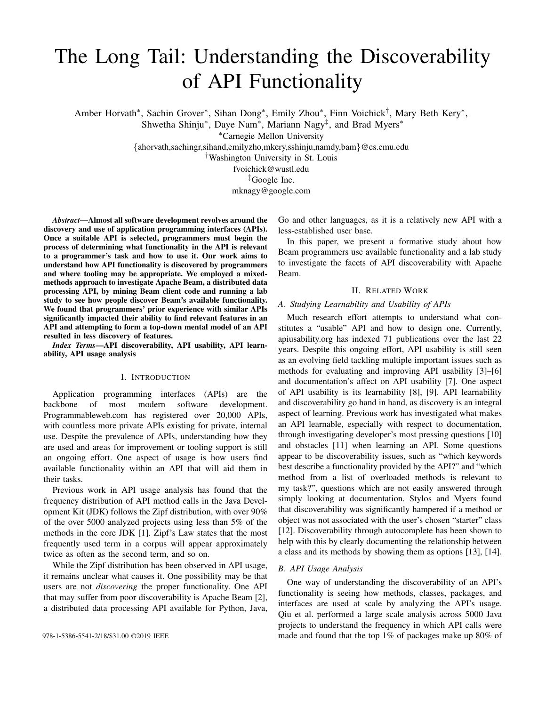# The Long Tail: Understanding the Discoverability of API Functionality

Amber Horvath\*, Sachin Grover\*, Sihan Dong\*, Emily Zhou\*, Finn Voichick<sup>†</sup>, Mary Beth Kery\*,

Shwetha Shinju<sup>∗</sup> , Daye Nam<sup>∗</sup> , Mariann Nagy‡ , and Brad Myers<sup>∗</sup>

<sup>∗</sup>Carnegie Mellon University

{ahorvath,sachingr,sihand,emilyzho,mkery,sshinju,namdy,bam}@cs.cmu.edu

†Washington University in St. Louis

fvoichick@wustl.edu

‡Google Inc.

mknagy@google.com

*Abstract*—Almost all software development revolves around the discovery and use of application programming interfaces (APIs). Once a suitable API is selected, programmers must begin the process of determining what functionality in the API is relevant to a programmer's task and how to use it. Our work aims to understand how API functionality is discovered by programmers and where tooling may be appropriate. We employed a mixedmethods approach to investigate Apache Beam, a distributed data processing API, by mining Beam client code and running a lab study to see how people discover Beam's available functionality. We found that programmers' prior experience with similar APIs significantly impacted their ability to find relevant features in an API and attempting to form a top-down mental model of an API resulted in less discovery of features.

*Index Terms*—API discoverability, API usability, API learnability, API usage analysis

# I. INTRODUCTION

Application programming interfaces (APIs) are the backbone of most modern software development. Programmableweb.com has registered over 20,000 APIs, with countless more private APIs existing for private, internal use. Despite the prevalence of APIs, understanding how they are used and areas for improvement or tooling support is still an ongoing effort. One aspect of usage is how users find available functionality within an API that will aid them in their tasks.

Previous work in API usage analysis has found that the frequency distribution of API method calls in the Java Development Kit (JDK) follows the Zipf distribution, with over 90% of the over 5000 analyzed projects using less than 5% of the methods in the core JDK [1]. Zipf's Law states that the most frequently used term in a corpus will appear approximately twice as often as the second term, and so on.

While the Zipf distribution has been observed in API usage, it remains unclear what causes it. One possibility may be that users are not *discovering* the proper functionality. One API that may suffer from poor discoverability is Apache Beam [2], a distributed data processing API available for Python, Java, Go and other languages, as it is a relatively new API with a less-established user base.

In this paper, we present a formative study about how Beam programmers use available functionality and a lab study to investigate the facets of API discoverability with Apache Beam.

# II. RELATED WORK

# *A. Studying Learnability and Usability of APIs*

Much research effort attempts to understand what constitutes a "usable" API and how to design one. Currently, apiusability.org has indexed 71 publications over the last 22 years. Despite this ongoing effort, API usability is still seen as an evolving field tackling multiple important issues such as methods for evaluating and improving API usability [3]–[6] and documentation's affect on API usability [7]. One aspect of API usability is its learnability [8], [9]. API learnability and discoverability go hand in hand, as discovery is an integral aspect of learning. Previous work has investigated what makes an API learnable, especially with respect to documentation, through investigating developer's most pressing questions [10] and obstacles [11] when learning an API. Some questions appear to be discoverability issues, such as "which keywords best describe a functionality provided by the API?" and "which method from a list of overloaded methods is relevant to my task?", questions which are not easily answered through simply looking at documentation. Stylos and Myers found that discoverability was significantly hampered if a method or object was not associated with the user's chosen "starter" class [12]. Discoverability through autocomplete has been shown to help with this by clearly documenting the relationship between a class and its methods by showing them as options [13], [14].

## *B. API Usage Analysis*

One way of understanding the discoverability of an API's functionality is seeing how methods, classes, packages, and interfaces are used at scale by analyzing the API's usage. Qiu et al. performed a large scale analysis across 5000 Java projects to understand the frequency in which API calls were 978-1-5386-5541-2/18/\$31.00 ©2019 IEEE made and found that the top 1% of packages make up 80% of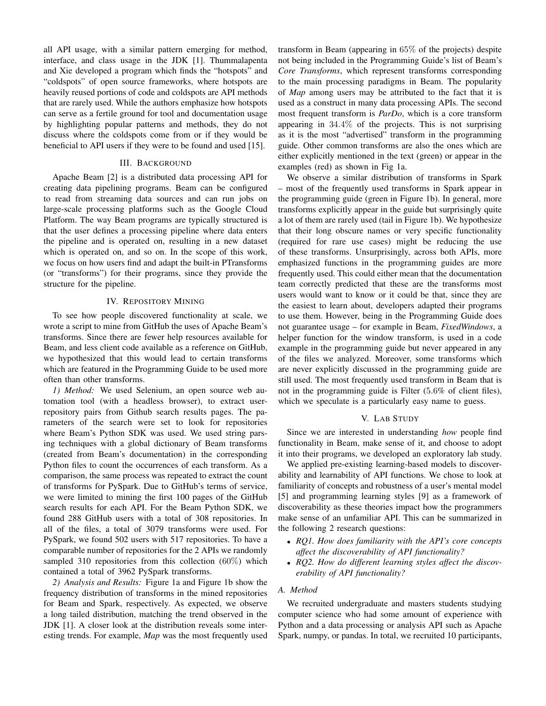all API usage, with a similar pattern emerging for method, interface, and class usage in the JDK [1]. Thummalapenta and Xie developed a program which finds the "hotspots" and "coldspots" of open source frameworks, where hotspots are heavily reused portions of code and coldspots are API methods that are rarely used. While the authors emphasize how hotspots can serve as a fertile ground for tool and documentation usage by highlighting popular patterns and methods, they do not discuss where the coldspots come from or if they would be beneficial to API users if they were to be found and used [15].

# III. BACKGROUND

Apache Beam [2] is a distributed data processing API for creating data pipelining programs. Beam can be configured to read from streaming data sources and can run jobs on large-scale processing platforms such as the Google Cloud Platform. The way Beam programs are typically structured is that the user defines a processing pipeline where data enters the pipeline and is operated on, resulting in a new dataset which is operated on, and so on. In the scope of this work, we focus on how users find and adapt the built-in PTransforms (or "transforms") for their programs, since they provide the structure for the pipeline.

## IV. REPOSITORY MINING

To see how people discovered functionality at scale, we wrote a script to mine from GitHub the uses of Apache Beam's transforms. Since there are fewer help resources available for Beam, and less client code available as a reference on GitHub, we hypothesized that this would lead to certain transforms which are featured in the Programming Guide to be used more often than other transforms.

*1) Method:* We used Selenium, an open source web automation tool (with a headless browser), to extract userrepository pairs from Github search results pages. The parameters of the search were set to look for repositories where Beam's Python SDK was used. We used string parsing techniques with a global dictionary of Beam transforms (created from Beam's documentation) in the corresponding Python files to count the occurrences of each transform. As a comparison, the same process was repeated to extract the count of transforms for PySpark. Due to GitHub's terms of service, we were limited to mining the first 100 pages of the GitHub search results for each API. For the Beam Python SDK, we found 288 GitHub users with a total of 308 repositories. In all of the files, a total of 3079 transforms were used. For PySpark, we found 502 users with 517 repositories. To have a comparable number of repositories for the 2 APIs we randomly sampled 310 repositories from this collection (60%) which contained a total of 3962 PySpark transforms.

*2) Analysis and Results:* Figure 1a and Figure 1b show the frequency distribution of transforms in the mined repositories for Beam and Spark, respectively. As expected, we observe a long tailed distribution, matching the trend observed in the JDK [1]. A closer look at the distribution reveals some interesting trends. For example, *Map* was the most frequently used transform in Beam (appearing in 65% of the projects) despite not being included in the Programming Guide's list of Beam's *Core Transforms*, which represent transforms corresponding to the main processing paradigms in Beam. The popularity of *Map* among users may be attributed to the fact that it is used as a construct in many data processing APIs. The second most frequent transform is *ParDo*, which is a core transform appearing in 34.4% of the projects. This is not surprising as it is the most "advertised" transform in the programming guide. Other common transforms are also the ones which are either explicitly mentioned in the text (green) or appear in the examples (red) as shown in Fig 1a.

We observe a similar distribution of transforms in Spark – most of the frequently used transforms in Spark appear in the programming guide (green in Figure 1b). In general, more transforms explicitly appear in the guide but surprisingly quite a lot of them are rarely used (tail in Figure 1b). We hypothesize that their long obscure names or very specific functionality (required for rare use cases) might be reducing the use of these transforms. Unsurprisingly, across both APIs, more emphasized functions in the programming guides are more frequently used. This could either mean that the documentation team correctly predicted that these are the transforms most users would want to know or it could be that, since they are the easiest to learn about, developers adapted their programs to use them. However, being in the Programming Guide does not guarantee usage – for example in Beam, *FixedWindows*, a helper function for the window transform, is used in a code example in the programming guide but never appeared in any of the files we analyzed. Moreover, some transforms which are never explicitly discussed in the programming guide are still used. The most frequently used transform in Beam that is not in the programming guide is Filter (5.6% of client files), which we speculate is a particularly easy name to guess.

#### V. LAB STUDY

Since we are interested in understanding *how* people find functionality in Beam, make sense of it, and choose to adopt it into their programs, we developed an exploratory lab study.

We applied pre-existing learning-based models to discoverability and learnability of API functions. We chose to look at familiarity of concepts and robustness of a user's mental model [5] and programming learning styles [9] as a framework of discoverability as these theories impact how the programmers make sense of an unfamiliar API. This can be summarized in the following 2 research questions:

- *RQ1. How does familiarity with the API's core concepts affect the discoverability of API functionality?*
- *RQ2. How do different learning styles affect the discoverability of API functionality?*

#### *A. Method*

We recruited undergraduate and masters students studying computer science who had some amount of experience with Python and a data processing or analysis API such as Apache Spark, numpy, or pandas. In total, we recruited 10 participants,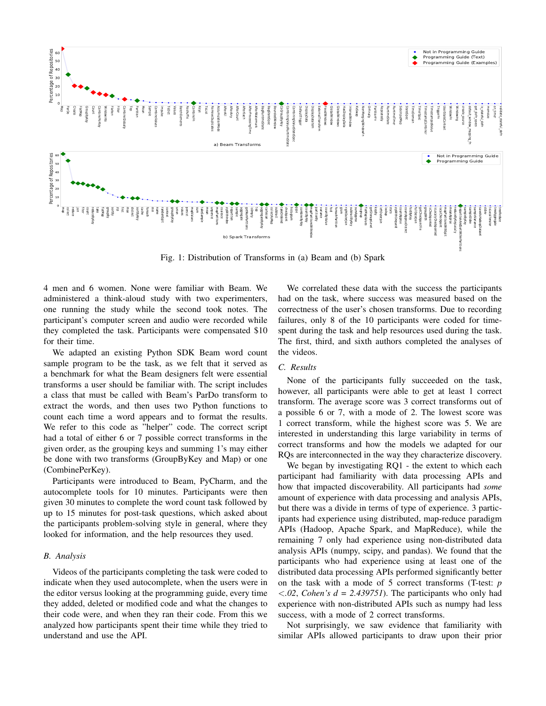

Fig. 1: Distribution of Transforms in (a) Beam and (b) Spark

4 men and 6 women. None were familiar with Beam. We administered a think-aloud study with two experimenters, one running the study while the second took notes. The participant's computer screen and audio were recorded while they completed the task. Participants were compensated \$10 for their time.

We adapted an existing Python SDK Beam word count sample program to be the task, as we felt that it served as a benchmark for what the Beam designers felt were essential transforms a user should be familiar with. The script includes a class that must be called with Beam's ParDo transform to extract the words, and then uses two Python functions to count each time a word appears and to format the results. We refer to this code as "helper" code. The correct script had a total of either 6 or 7 possible correct transforms in the given order, as the grouping keys and summing 1's may either be done with two transforms (GroupByKey and Map) or one (CombinePerKey).

Participants were introduced to Beam, PyCharm, and the autocomplete tools for 10 minutes. Participants were then given 30 minutes to complete the word count task followed by up to 15 minutes for post-task questions, which asked about the participants problem-solving style in general, where they looked for information, and the help resources they used.

#### *B. Analysis*

Videos of the participants completing the task were coded to indicate when they used autocomplete, when the users were in the editor versus looking at the programming guide, every time they added, deleted or modified code and what the changes to their code were, and when they ran their code. From this we analyzed how participants spent their time while they tried to understand and use the API.

We correlated these data with the success the participants had on the task, where success was measured based on the correctness of the user's chosen transforms. Due to recording failures, only 8 of the 10 participants were coded for timespent during the task and help resources used during the task. The first, third, and sixth authors completed the analyses of the videos.

# *C. Results*

None of the participants fully succeeded on the task, however, all participants were able to get at least 1 correct transform. The average score was 3 correct transforms out of a possible 6 or 7, with a mode of 2. The lowest score was 1 correct transform, while the highest score was 5. We are interested in understanding this large variability in terms of correct transforms and how the models we adapted for our RQs are interconnected in the way they characterize discovery.

We began by investigating RQ1 - the extent to which each participant had familiarity with data processing APIs and how that impacted discoverability. All participants had *some* amount of experience with data processing and analysis APIs, but there was a divide in terms of type of experience. 3 participants had experience using distributed, map-reduce paradigm APIs (Hadoop, Apache Spark, and MapReduce), while the remaining 7 only had experience using non-distributed data analysis APIs (numpy, scipy, and pandas). We found that the participants who had experience using at least one of the distributed data processing APIs performed significantly better on the task with a mode of 5 correct transforms (T-test: *p* <*.02*, *Cohen's d = 2.439751*). The participants who only had experience with non-distributed APIs such as numpy had less success, with a mode of 2 correct transforms.

Not surprisingly, we saw evidence that familiarity with similar APIs allowed participants to draw upon their prior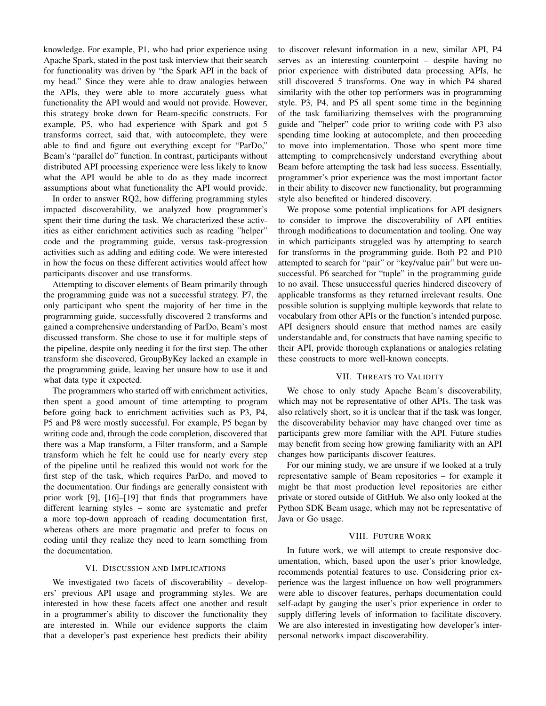knowledge. For example, P1, who had prior experience using Apache Spark, stated in the post task interview that their search for functionality was driven by "the Spark API in the back of my head." Since they were able to draw analogies between the APIs, they were able to more accurately guess what functionality the API would and would not provide. However, this strategy broke down for Beam-specific constructs. For example, P5, who had experience with Spark and got 5 transforms correct, said that, with autocomplete, they were able to find and figure out everything except for "ParDo," Beam's "parallel do" function. In contrast, participants without distributed API processing experience were less likely to know what the API would be able to do as they made incorrect assumptions about what functionality the API would provide.

In order to answer RQ2, how differing programming styles impacted discoverability, we analyzed how programmer's spent their time during the task. We characterized these activities as either enrichment activities such as reading "helper" code and the programming guide, versus task-progression activities such as adding and editing code. We were interested in how the focus on these different activities would affect how participants discover and use transforms.

Attempting to discover elements of Beam primarily through the programming guide was not a successful strategy. P7, the only participant who spent the majority of her time in the programming guide, successfully discovered 2 transforms and gained a comprehensive understanding of ParDo, Beam's most discussed transform. She chose to use it for multiple steps of the pipeline, despite only needing it for the first step. The other transform she discovered, GroupByKey lacked an example in the programming guide, leaving her unsure how to use it and what data type it expected.

The programmers who started off with enrichment activities, then spent a good amount of time attempting to program before going back to enrichment activities such as P3, P4, P5 and P8 were mostly successful. For example, P5 began by writing code and, through the code completion, discovered that there was a Map transform, a Filter transform, and a Sample transform which he felt he could use for nearly every step of the pipeline until he realized this would not work for the first step of the task, which requires ParDo, and moved to the documentation. Our findings are generally consistent with prior work [9], [16]–[19] that finds that programmers have different learning styles – some are systematic and prefer a more top-down approach of reading documentation first, whereas others are more pragmatic and prefer to focus on coding until they realize they need to learn something from the documentation.

# VI. DISCUSSION AND IMPLICATIONS

We investigated two facets of discoverability – developers' previous API usage and programming styles. We are interested in how these facets affect one another and result in a programmer's ability to discover the functionality they are interested in. While our evidence supports the claim that a developer's past experience best predicts their ability to discover relevant information in a new, similar API, P4 serves as an interesting counterpoint – despite having no prior experience with distributed data processing APIs, he still discovered 5 transforms. One way in which P4 shared similarity with the other top performers was in programming style. P3, P4, and P5 all spent some time in the beginning of the task familiarizing themselves with the programming guide and "helper" code prior to writing code with P3 also spending time looking at autocomplete, and then proceeding to move into implementation. Those who spent more time attempting to comprehensively understand everything about Beam before attempting the task had less success. Essentially, programmer's prior experience was the most important factor in their ability to discover new functionality, but programming style also benefited or hindered discovery.

We propose some potential implications for API designers to consider to improve the discoverability of API entities through modifications to documentation and tooling. One way in which participants struggled was by attempting to search for transforms in the programming guide. Both P2 and P10 attempted to search for "pair" or "key/value pair" but were unsuccessful. P6 searched for "tuple" in the programming guide to no avail. These unsuccessful queries hindered discovery of applicable transforms as they returned irrelevant results. One possible solution is supplying multiple keywords that relate to vocabulary from other APIs or the function's intended purpose. API designers should ensure that method names are easily understandable and, for constructs that have naming specific to their API, provide thorough explanations or analogies relating these constructs to more well-known concepts.

### VII. THREATS TO VALIDITY

We chose to only study Apache Beam's discoverability, which may not be representative of other APIs. The task was also relatively short, so it is unclear that if the task was longer, the discoverability behavior may have changed over time as participants grew more familiar with the API. Future studies may benefit from seeing how growing familiarity with an API changes how participants discover features.

For our mining study, we are unsure if we looked at a truly representative sample of Beam repositories – for example it might be that most production level repositories are either private or stored outside of GitHub. We also only looked at the Python SDK Beam usage, which may not be representative of Java or Go usage.

#### VIII. FUTURE WORK

In future work, we will attempt to create responsive documentation, which, based upon the user's prior knowledge, recommends potential features to use. Considering prior experience was the largest influence on how well programmers were able to discover features, perhaps documentation could self-adapt by gauging the user's prior experience in order to supply differing levels of information to facilitate discovery. We are also interested in investigating how developer's interpersonal networks impact discoverability.